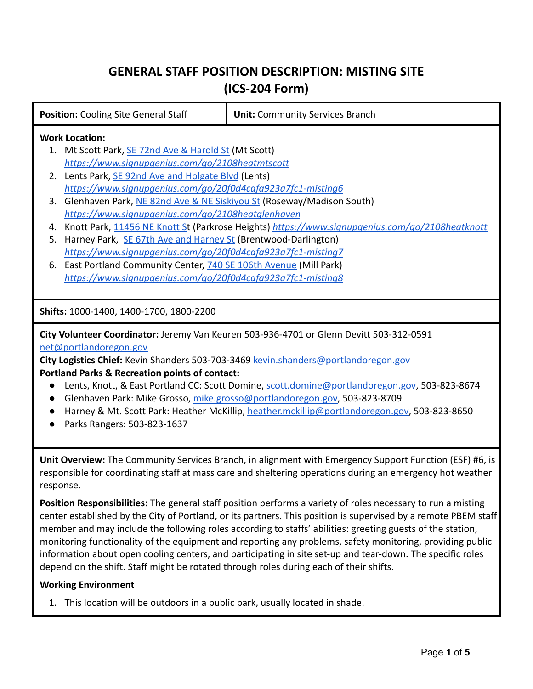# **GENERAL STAFF POSITION DESCRIPTION: MISTING SITE (ICS-204 Form)**

| <b>Position: Cooling Site General Staff</b>       |                                                                                                | <b>Unit: Community Services Branch</b>                      |  |
|---------------------------------------------------|------------------------------------------------------------------------------------------------|-------------------------------------------------------------|--|
| <b>Work Location:</b>                             |                                                                                                |                                                             |  |
| Mt Scott Park, SE 72nd Ave & Harold St (Mt Scott) |                                                                                                |                                                             |  |
|                                                   | https://www.signupgenius.com/go/2108heatmtscott                                                |                                                             |  |
|                                                   | 2. Lents Park, SE 92nd Ave and Holgate Blvd (Lents)                                            |                                                             |  |
|                                                   | https://www.signupgenius.com/go/20f0d4cafa923a7fc1-misting6                                    |                                                             |  |
|                                                   | 3. Glenhaven Park, NE 82nd Ave & NE Siskiyou St (Roseway/Madison South)                        |                                                             |  |
|                                                   | https://www.signupgenius.com/go/2108heatglenhaven                                              |                                                             |  |
| 4.                                                | Knott Park, 11456 NE Knott St (Parkrose Heights) https://www.signupgenius.com/go/2108heatknott |                                                             |  |
| 5.                                                | Harney Park, SE 67th Ave and Harney St (Brentwood-Darlington)                                  |                                                             |  |
|                                                   |                                                                                                | https://www.signupgenius.com/go/20f0d4cafa923a7fc1-misting7 |  |
|                                                   | 6. East Portland Community Center, 740 SE 106th Avenue (Mill Park)                             |                                                             |  |
|                                                   | https://www.signupgenius.com/go/20f0d4cafa923a7fc1-misting8                                    |                                                             |  |
|                                                   |                                                                                                |                                                             |  |
|                                                   | Shifts: 1000-1400, 1400-1700, 1800-2200                                                        |                                                             |  |

**City Volunteer Coordinator:** Jeremy Van Keuren 503-936-4701 or Glenn Devitt 503-312-0591 [net@portlandoregon.gov](mailto:net@portlandoregon.gov)

**City Logistics Chief:** Kevin Shanders 503-703-3469 [kevin.shanders@portlandoregon.gov](mailto:kevin.shanders@portlandoregon.gov) **Portland Parks & Recreation points of contact:**

- Lents, Knott, & East Portland CC: Scott Domine, [scott.domine@portlandoregon.gov,](mailto:scott.domine@portlandoregon.gov) 503-823-8674
- Glenhaven Park: Mike Grosso, [mike.grosso@portlandoregon.gov,](mailto:mike.grosso@portlandoregon.gov) 503-823-8709
- Harney & Mt. Scott Park: Heather McKillip, [heather.mckillip@portlandoregon.gov,](mailto:heather.mckillip@portlandoregon.gov) 503-823-8650
- Parks Rangers: 503-823-1637

**Unit Overview:** The Community Services Branch, in alignment with Emergency Support Function (ESF) #6, is responsible for coordinating staff at mass care and sheltering operations during an emergency hot weather response.

**Position Responsibilities:** The general staff position performs a variety of roles necessary to run a misting center established by the City of Portland, or its partners. This position is supervised by a remote PBEM staff member and may include the following roles according to staffs' abilities: greeting guests of the station, monitoring functionality of the equipment and reporting any problems, safety monitoring, providing public information about open cooling centers, and participating in site set-up and tear-down. The specific roles depend on the shift. Staff might be rotated through roles during each of their shifts.

## **Working Environment**

1. This location will be outdoors in a public park, usually located in shade.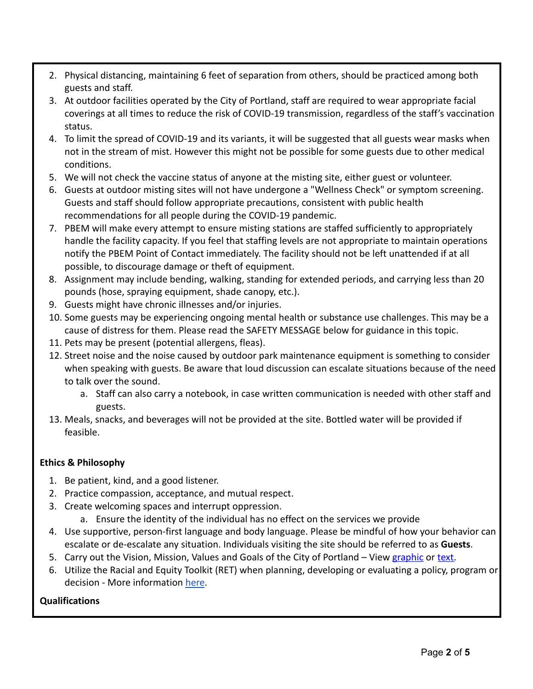- 2. Physical distancing, maintaining 6 feet of separation from others, should be practiced among both guests and staff.
- 3. At outdoor facilities operated by the City of Portland, staff are required to wear appropriate facial coverings at all times to reduce the risk of COVID-19 transmission, regardless of the staff's vaccination status.
- 4. To limit the spread of COVID-19 and its variants, it will be suggested that all guests wear masks when not in the stream of mist. However this might not be possible for some guests due to other medical conditions.
- 5. We will not check the vaccine status of anyone at the misting site, either guest or volunteer.
- 6. Guests at outdoor misting sites will not have undergone a "Wellness Check" or symptom screening. Guests and staff should follow appropriate precautions, consistent with public health recommendations for all people during the COVID-19 pandemic.
- 7. PBEM will make every attempt to ensure misting stations are staffed sufficiently to appropriately handle the facility capacity. If you feel that staffing levels are not appropriate to maintain operations notify the PBEM Point of Contact immediately. The facility should not be left unattended if at all possible, to discourage damage or theft of equipment.
- 8. Assignment may include bending, walking, standing for extended periods, and carrying less than 20 pounds (hose, spraying equipment, shade canopy, etc.).
- 9. Guests might have chronic illnesses and/or injuries.
- 10. Some guests may be experiencing ongoing mental health or substance use challenges. This may be a cause of distress for them. Please read the SAFETY MESSAGE below for guidance in this topic.
- 11. Pets may be present (potential allergens, fleas).
- 12. Street noise and the noise caused by outdoor park maintenance equipment is something to consider when speaking with guests. Be aware that loud discussion can escalate situations because of the need to talk over the sound.
	- a. Staff can also carry a notebook, in case written communication is needed with other staff and guests.
- 13. Meals, snacks, and beverages will not be provided at the site. Bottled water will be provided if feasible.

# **Ethics & Philosophy**

- 1. Be patient, kind, and a good listener.
- 2. Practice compassion, acceptance, and mutual respect.
- 3. Create welcoming spaces and interrupt oppression.
	- a. Ensure the identity of the individual has no effect on the services we provide
- 4. Use supportive, person-first language and body language. Please be mindful of how your behavior can escalate or de-escalate any situation. Individuals visiting the site should be referred to as **Guests**.
- 5. Carry out the Vision, Mission, Values and Goals of the City of Portland View [graphic](https://www.portlandoregon.gov/bhr/article/765248) or [text.](https://www.portlandoregon.gov/bhr/article/765355)
- 6. Utilize the Racial and Equity Toolkit (RET) when planning, developing or evaluating a policy, program or decision - More informatio[n](https://static1.squarespace.com/static/566631e8c21b864679fff4de/t/580fd47af5e231fb340423ec/1477432443385/Racial_Equity_Lens.pdf) [here](https://www.portland.gov/parks/equity-inclusion#toc-equity-lens-and-racial-equity-toolkit-ret-).

# **Qualifications**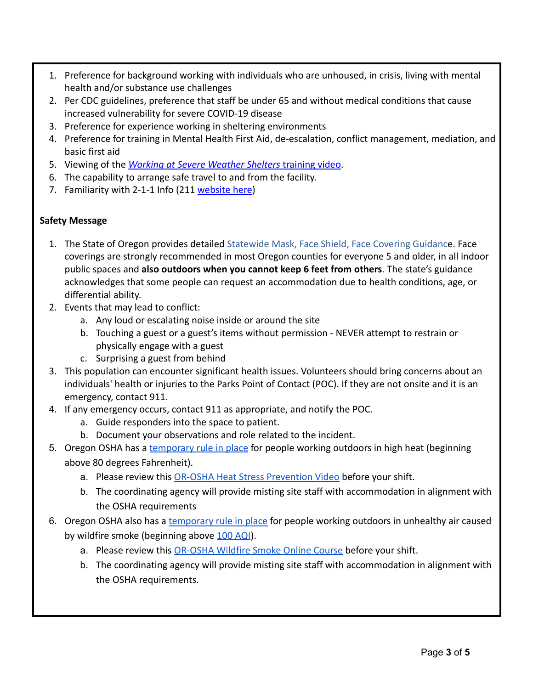- 1. Preference for background working with individuals who are unhoused, in crisis, living with mental health and/or substance use challenges
- 2. Per CDC guidelines, preference that staff be under 65 and without medical conditions that cause increased vulnerability for severe COVID-19 disease
- 3. Preference for experience working in sheltering environments
- 4. Preference for training in Mental Health First Aid, de-escalation, conflict management, mediation, and basic first aid
- 5. Viewing of the *[Working at Severe Weather Shelters](https://portlandnet.tumblr.com/post/182585933365/training-video-for-helping-at-overnight-warming)* training video.
- 6. The capability to arrange safe travel to and from the facility.
- 7. Familiarity with 2-1-1 Info (211 [website here\)](https://www.211info.org/)

## **Safety Message**

- 1. The State of Oregon provides detailed Statewide Mask, [Face Shield, Face Covering Guidanc](https://www.oregon.gov/olcc/docs/covid19/OHA_Statewide_FaceCoveringGuidance_072420.pdf)e. Face coverings are strongly recommended in most Oregon counties for everyone 5 and older, in all indoor public spaces and **also outdoors when you cannot keep 6 feet from others**. The state's guidance acknowledges that some people can request an accommodation due to health conditions, age, or differential ability.
- 2. Events that may lead to conflict:
	- a. Any loud or escalating noise inside or around the site
	- b. Touching a guest or a guest's items without permission NEVER attempt to restrain or physically engage with a guest
	- c. Surprising a guest from behind
- 3. This population can encounter significant health issues. Volunteers should bring concerns about an individuals' health or injuries to the Parks Point of Contact (POC). If they are not onsite and it is an emergency, contact 911.
- 4. If any emergency occurs, contact 911 as appropriate, and notify the POC.
	- a. Guide responders into the space to patient.
	- b. Document your observations and role related to the incident.
- 5. Oregon OSHA has a [temporary rule in place](https://osha.oregon.gov/OSHAPubs/factsheets/fs85.pdf) for people working outdoors in high heat (beginning above 80 degrees Fahrenheit).
	- a. Please review this [OR-OSHA Heat Stress Prevention](https://osha.oregon.gov/media/videos-online/Pages/heat-stress-prevention.aspx) Video before your shift.
	- b. The coordinating agency will provide misting site staff with accommodation in alignment with the OSHA requirements
- 6. Oregon OSHA also has a [temporary rule in place](https://osha.oregon.gov/rules/advisory/smoke/Documents/SummaryTempWildfireSmoke20210802.pdf) for people working outdoors in unhealthy air caused by wildfire smoke (beginning above [100 AQI](https://fire.airnow.gov/#)).
	- a. Please review this [OR-OSHA Wildfire Smoke Online Course](https://osha.oregon.gov/edu/courses/Pages/wildfire-smoke-online-course.aspx) before your shift.
	- b. The coordinating agency will provide misting site staff with accommodation in alignment with the OSHA requirements.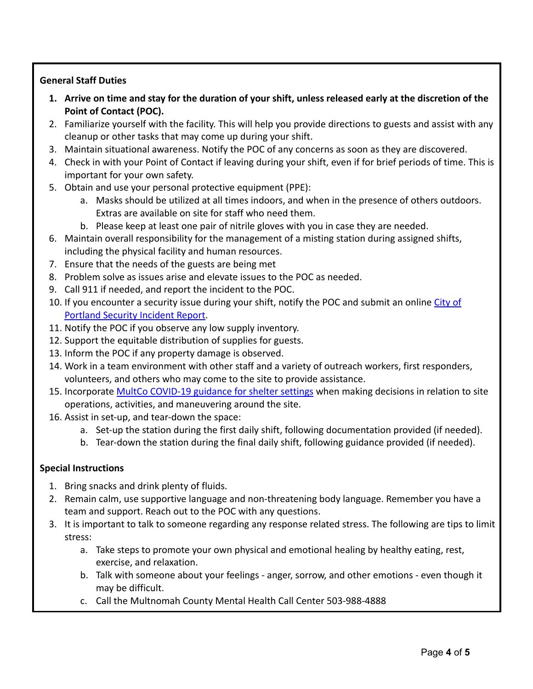# **General Staff Duties**

- **1. Arrive on time and stay for the duration of your shift, unless released early at the discretion of the Point of Contact (POC).**
- 2. Familiarize yourself with the facility. This will help you provide directions to guests and assist with any cleanup or other tasks that may come up during your shift.
- 3. Maintain situational awareness. Notify the POC of any concerns as soon as they are discovered.
- 4. Check in with your Point of Contact if leaving during your shift, even if for brief periods of time. This is important for your own safety.
- 5. Obtain and use your personal protective equipment (PPE):
	- a. Masks should be utilized at all times indoors, and when in the presence of others outdoors. Extras are available on site for staff who need them.
	- b. Please keep at least one pair of nitrile gloves with you in case they are needed.
- 6. Maintain overall responsibility for the management of a misting station during assigned shifts, including the physical facility and human resources.
- 7. Ensure that the needs of the guests are being met
- 8. Problem solve as issues arise and elevate issues to the POC as needed.
- 9. Call 911 if needed, and report the incident to the POC.
- 10. If you encounter a security issue during your shift, notify the POC and submit an online [City of](https://survey123.arcgis.com/share/07e20494c3a146988864ff11f7ac0e39) [Portland Security Incident Report.](https://survey123.arcgis.com/share/07e20494c3a146988864ff11f7ac0e39)
- 11. Notify the POC if you observe any low supply inventory.
- 12. Support the equitable distribution of supplies for guests.
- 13. Inform the POC if any property damage is observed.
- 14. Work in a team environment with other staff and a variety of outreach workers, first responders, volunteers, and others who may come to the site to provide assistance.
- 15. Incorporate [MultCo COVID-19 guidance for shelter settings](https://multco.us/novel-coronavirus-covid-19/covid-19-guidance-shelter-settings) when making decisions in relation to site operations, activities, and maneuvering around the site.
- 16. Assist in set-up, and tear-down the space:
	- a. Set-up the station during the first daily shift, following documentation provided (if needed).
	- b. Tear-down the station during the final daily shift, following guidance provided (if needed).

## **Special Instructions**

- 1. Bring snacks and drink plenty of fluids.
- 2. Remain calm, use supportive language and non-threatening body language. Remember you have a team and support. Reach out to the POC with any questions.
- 3. It is important to talk to someone regarding any response related stress. The following are tips to limit stress:
	- a. Take steps to promote your own physical and emotional healing by healthy eating, rest, exercise, and relaxation.
	- b. Talk with someone about your feelings anger, sorrow, and other emotions even though it may be difficult.
	- c. Call the Multnomah County Mental Health Call Center 503-988-4888